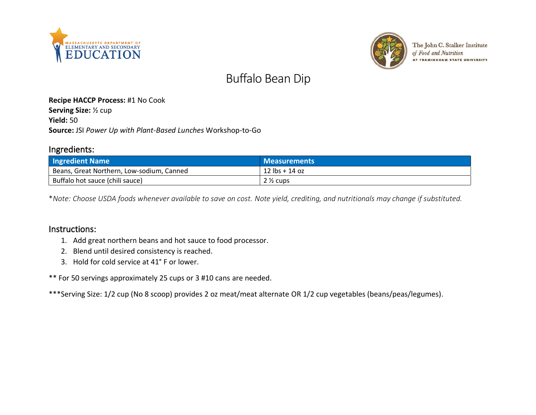



The John C. Stalker Institute of Food and Nutrition **AT FRAMINGHAM STATE UNIVERSITY** 

# Buffalo Bean Dip

#### **Recipe HACCP Process:** #1 No Cook **Serving Size:** ½ cup **Yield:** 50 **Source:** JSI *Power Up with Plant-Based Lunches* Workshop-to-Go

### Ingredients:

| <b>Ingredient Name</b>                    | <b>Measurements</b>              |
|-------------------------------------------|----------------------------------|
| Beans, Great Northern, Low-sodium, Canned | $12 \text{ lbs} + 14 \text{ oz}$ |
| Buffalo hot sauce (chili sauce)           | $2\frac{1}{2}$ cups              |

\**Note: Choose USDA foods whenever available to save on cost. Note yield, crediting, and nutritionals may change if substituted.*

#### Instructions:

- 1. Add great northern beans and hot sauce to food processor.
- 2. Blend until desired consistency is reached.
- 3. Hold for cold service at 41° F or lower.

\*\* For 50 servings approximately 25 cups or 3 #10 cans are needed.

\*\*\*Serving Size: 1/2 cup (No 8 scoop) provides 2 oz meat/meat alternate OR 1/2 cup vegetables (beans/peas/legumes).